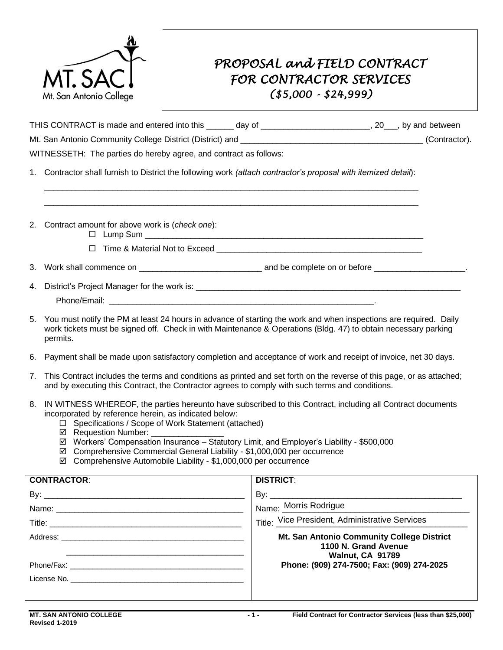

## *PROPOSAL and FIELD CONTRACT FOR CONTRACTOR SERVICES (\$5,000 - \$24,999)*

|    | THIS CONTRACT is made and entered into this ______ day of _______________________, 20__, by and between                                                                                                                                                                                                                                                      |                                                |  |  |
|----|--------------------------------------------------------------------------------------------------------------------------------------------------------------------------------------------------------------------------------------------------------------------------------------------------------------------------------------------------------------|------------------------------------------------|--|--|
|    |                                                                                                                                                                                                                                                                                                                                                              |                                                |  |  |
|    | WITNESSETH: The parties do hereby agree, and contract as follows:                                                                                                                                                                                                                                                                                            |                                                |  |  |
|    | 1. Contractor shall furnish to District the following work (attach contractor's proposal with itemized detail):                                                                                                                                                                                                                                              |                                                |  |  |
|    |                                                                                                                                                                                                                                                                                                                                                              |                                                |  |  |
|    |                                                                                                                                                                                                                                                                                                                                                              |                                                |  |  |
|    | 2. Contract amount for above work is (check one):                                                                                                                                                                                                                                                                                                            |                                                |  |  |
|    | $\Box$ Time & Material Not to Exceed                                                                                                                                                                                                                                                                                                                         |                                                |  |  |
|    |                                                                                                                                                                                                                                                                                                                                                              |                                                |  |  |
| 4. |                                                                                                                                                                                                                                                                                                                                                              |                                                |  |  |
|    |                                                                                                                                                                                                                                                                                                                                                              |                                                |  |  |
| 5. | You must notify the PM at least 24 hours in advance of starting the work and when inspections are required. Daily<br>work tickets must be signed off. Check in with Maintenance & Operations (Bldg. 47) to obtain necessary parking<br>permits.                                                                                                              |                                                |  |  |
| 6. | Payment shall be made upon satisfactory completion and acceptance of work and receipt of invoice, net 30 days.                                                                                                                                                                                                                                               |                                                |  |  |
| 7. | This Contract includes the terms and conditions as printed and set forth on the reverse of this page, or as attached;<br>and by executing this Contract, the Contractor agrees to comply with such terms and conditions.                                                                                                                                     |                                                |  |  |
| 8. | IN WITNESS WHEREOF, the parties hereunto have subscribed to this Contract, including all Contract documents<br>incorporated by reference herein, as indicated below:<br>□ Specifications / Scope of Work Statement (attached)<br>☑ Requestion Number: ___________<br>Workers' Compensation Insurance - Statutory Limit, and Employer's Liability - \$500,000 |                                                |  |  |
|    | ☑<br>☑ Comprehensive Commercial General Liability - \$1,000,000 per occurrence<br>☑ Comprehensive Automobile Liability - \$1,000,000 per occurrence                                                                                                                                                                                                          |                                                |  |  |
|    | <b>CONTRACTOR:</b>                                                                                                                                                                                                                                                                                                                                           | <b>DISTRICT:</b>                               |  |  |
|    |                                                                                                                                                                                                                                                                                                                                                              |                                                |  |  |
|    |                                                                                                                                                                                                                                                                                                                                                              | Name: Morris Rodrigue                          |  |  |
|    |                                                                                                                                                                                                                                                                                                                                                              | Title: Vice President, Administrative Services |  |  |
|    | Address:                                                                                                                                                                                                                                                                                                                                                     | Mt. San Antonio Community College District     |  |  |

 **1100 N. Grand Avenue** \_\_\_\_\_\_\_\_\_\_\_\_\_\_\_\_\_\_\_\_\_\_\_\_\_\_\_\_\_\_\_\_\_\_\_\_\_\_\_ **Walnut, CA 91789 Walnut, CA 91789** Phone/Fax: \_\_\_\_\_\_\_\_\_\_\_\_\_\_\_\_\_\_\_\_\_\_\_\_\_\_\_\_\_\_\_\_\_\_\_\_\_\_ **Phone: (909) 274-7500; Fax: (909) 274-2025**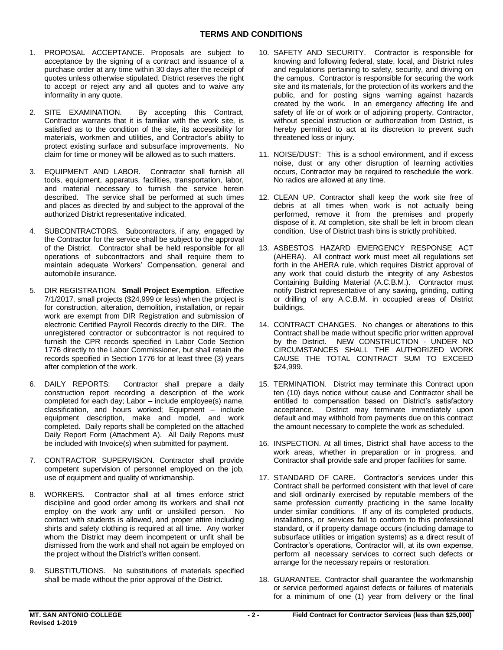- 1. PROPOSAL ACCEPTANCE. Proposals are subject to acceptance by the signing of a contract and issuance of a purchase order at any time within 30 days after the receipt of quotes unless otherwise stipulated. District reserves the right to accept or reject any and all quotes and to waive any informality in any quote.
- 2. SITE EXAMINATION. By accepting this Contract, Contractor warrants that it is familiar with the work site, is satisfied as to the condition of the site, its accessibility for materials, workmen and utilities, and Contractor's ability to protect existing surface and subsurface improvements. No claim for time or money will be allowed as to such matters.
- 3. EQUIPMENT AND LABOR. Contractor shall furnish all tools, equipment, apparatus, facilities, transportation, labor, and material necessary to furnish the service herein described. The service shall be performed at such times and places as directed by and subject to the approval of the authorized District representative indicated.
- 4. SUBCONTRACTORS. Subcontractors, if any, engaged by the Contractor for the service shall be subject to the approval of the District. Contractor shall be held responsible for all operations of subcontractors and shall require them to maintain adequate Workers' Compensation, general and automobile insurance.
- 5. DIR REGISTRATION. **Small Project Exemption**. Effective 7/1/2017, small projects (\$24,999 or less) when the project is for construction, alteration, demolition, installation, or repair work are exempt from DIR Registration and submission of electronic Certified Payroll Records directly to the DIR. The unregistered contractor or subcontractor is not required to furnish the CPR records specified in Labor Code Section 1776 directly to the Labor Commissioner, but shall retain the records specified in Section 1776 for at least three (3) years after completion of the work.
- 6. DAILY REPORTS: construction report recording a description of the work completed for each day; Labor – include employee(s) name, classification, and hours worked; Equipment – include equipment description, make and model, and work completed. Daily reports shall be completed on the attached Daily Report Form (Attachment A). All Daily Reports must be included with Invoice(s) when submitted for payment. Contractor shall prepare a daily
- 7. CONTRACTOR SUPERVISION. Contractor shall provide competent supervision of personnel employed on the job, use of equipment and quality of workmanship.
- 8. WORKERS. Contractor shall at all times enforce strict discipline and good order among its workers and shall not employ on the work any unfit or unskilled person. No contact with students is allowed, and proper attire including shirts and safety clothing is required at all time. Any worker whom the District may deem incompetent or unfit shall be dismissed from the work and shall not again be employed on the project without the District's written consent.
- 9. SUBSTITUTIONS. No substitutions of materials specified shall be made without the prior approval of the District.
- 10. SAFETY AND SECURITY. Contractor is responsible for knowing and following federal, state, local, and District rules and regulations pertaining to safety, security, and driving on the campus. Contractor is responsible for securing the work site and its materials, for the protection of its workers and the public, and for posting signs warning against hazards created by the work. In an emergency affecting life and safety of life or of work or of adjoining property, Contractor, without special instruction or authorization from District, is hereby permitted to act at its discretion to prevent such threatened loss or injury.
- 11. NOISE/DUST: This is a school environment, and if excess noise, dust or any other disruption of learning activities occurs, Contractor may be required to reschedule the work. No radios are allowed at any time.
- 12. CLEAN UP. Contractor shall keep the work site free of debris at all times when work is not actually being performed, remove it from the premises and properly dispose of it. At completion, site shall be left in broom clean condition. Use of District trash bins is strictly prohibited.
- 13. ASBESTOS HAZARD EMERGENCY RESPONSE ACT (AHERA). All contract work must meet all regulations set forth in the AHERA rule, which requires District approval of any work that could disturb the integrity of any Asbestos Containing Building Material (A.C.B.M.). Contractor must notify District representative of any sawing, grinding, cutting or drilling of any A.C.B.M. in occupied areas of District buildings.
- 14. CONTRACT CHANGES. No changes or alterations to this Contract shall be made without specific prior written approval by the District. NEW CONSTRUCTION - UNDER NO CIRCUMSTANCES SHALL THE AUTHORIZED WORK CAUSE THE TOTAL CONTRACT SUM TO EXCEED \$24,999.
- 15. TERMINATION. District may terminate this Contract upon ten (10) days notice without cause and Contractor shall be entitled to compensation based on District's satisfactory acceptance. default and may withhold from payments due on this contract the amount necessary to complete the work as scheduled. District may terminate immediately upon
- 16. INSPECTION. At all times, District shall have access to the work areas, whether in preparation or in progress, and Contractor shall provide safe and proper facilities for same.
- 17. STANDARD OF CARE. Contractor's services under this Contract shall be performed consistent with that level of care and skill ordinarily exercised by reputable members of the same profession currently practicing in the same locality under similar conditions. If any of its completed products, installations, or services fail to conform to this professional standard, or if property damage occurs (including damage to subsurface utilities or irrigation systems) as a direct result of Contractor's operations, Contractor will, at its own expense, perform all necessary services to correct such defects or arrange for the necessary repairs or restoration.
- 18. GUARANTEE. Contractor shall guarantee the workmanship or service performed against defects or failures of materials for a minimum of one (1) year from delivery or the final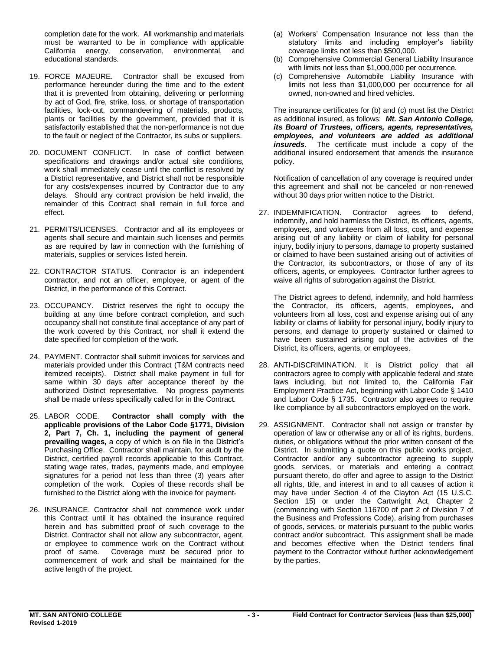completion date for the work. All workmanship and materials must be warranted to be in compliance with applicable California energy, conservation, environmental, and educational standards.

- 19. FORCE MAJEURE. Contractor shall be excused from performance hereunder during the time and to the extent that it is prevented from obtaining, delivering or performing by act of God, fire, strike, loss, or shortage of transportation facilities, lock-out, commandeering of materials, products, plants or facilities by the government, provided that it is satisfactorily established that the non-performance is not due to the fault or neglect of the Contractor, its subs or suppliers.
- 20. DOCUMENT CONFLICT. In case of conflict between specifications and drawings and/or actual site conditions, work shall immediately cease until the conflict is resolved by a District representative, and District shall not be responsible for any costs/expenses incurred by Contractor due to any delays. Should any contract provision be held invalid, the remainder of this Contract shall remain in full force and effect.
- 21. PERMITS/LICENSES. Contractor and all its employees or agents shall secure and maintain such licenses and permits as are required by law in connection with the furnishing of materials, supplies or services listed herein.
- 22. CONTRACTOR STATUS. Contractor is an independent contractor, and not an officer, employee, or agent of the District, in the performance of this Contract.
- 23. OCCUPANCY. District reserves the right to occupy the building at any time before contract completion, and such occupancy shall not constitute final acceptance of any part of the work covered by this Contract, nor shall it extend the date specified for completion of the work.
- 24. PAYMENT. Contractor shall submit invoices for services and materials provided under this Contract (T&M contracts need itemized receipts). District shall make payment in full for same within 30 days after acceptance thereof by the authorized District representative. No progress payments shall be made unless specifically called for in the Contract.
- 25. LABOR CODE.  **applicable provisions of the Labor Code §1771, Division 2, Part 7, Ch. 1, including the payment of general prevailing wages,** a copy of which is on file in the District's Purchasing Office. Contractor shall maintain, for audit by the District, certified payroll records applicable to this Contract, stating wage rates, trades, payments made, and employee signatures for a period not less than three (3) years after completion of the work. Copies of these records shall be furnished to the District along with the invoice for payment. Contractor shall comply with the
- 26. INSURANCE. Contractor shall not commence work under this Contract until it has obtained the insurance required herein and has submitted proof of such coverage to the District. Contractor shall not allow any subcontractor, agent, or employee to commence work on the Contract without proof of same. Coverage must be secured prior to commencement of work and shall be maintained for the active length of the project.
- (a) Workers' Compensation Insurance not less than the statutory limits and including employer's liability coverage limits not less than \$500,000.
- (b) Comprehensive Commercial General Liability Insurance with limits not less than \$1,000,000 per occurrence.
- limits not less than \$1,000,000 per occurrence for all owned, non-owned and hired vehicles. (c) Comprehensive Automobile Liability Insurance with

 The insurance certificates for (b) and (c) must list the District as additional insured, as follows: *Mt. San Antonio College, its Board of Trustees, officers, agents, representatives, employees, and volunteers are added as additional insureds.* The certificate must include a copy of the additional insured endorsement that amends the insurance policy.

 Notification of cancellation of any coverage is required under this agreement and shall not be canceled or non-renewed without 30 days prior written notice to the District.

 27. INDEMNIFICATION. Contractor agrees to defend, indemnify, and hold harmless the District, its officers, agents, employees, and volunteers from all loss, cost, and expense arising out of any liability or claim of liability for personal injury, bodily injury to persons, damage to property sustained or claimed to have been sustained arising out of activities of the Contractor, its subcontractors, or those of any of its officers, agents, or employees. Contractor further agrees to waive all rights of subrogation against the District.

 The District agrees to defend, indemnify, and hold harmless the Contractor, its officers, agents, employees, and volunteers from all loss, cost and expense arising out of any liability or claims of liability for personal injury, bodily injury to persons, and damage to property sustained or claimed to have been sustained arising out of the activities of the District, its officers, agents, or employees.

- 28. ANTI-DISCRIMINATION. It is District policy that all contractors agree to comply with applicable federal and state laws including, but not limited to, the California Fair Employment Practice Act, beginning with Labor Code § 1410 and Labor Code § 1735. Contractor also agrees to require like compliance by all subcontractors employed on the work.
- 29. ASSIGNMENT. Contractor shall not assign or transfer by operation of law or otherwise any or all of its rights, burdens, duties, or obligations without the prior written consent of the District. In submitting a quote on this public works project, Contractor and/or any subcontractor agreeing to supply goods, services, or materials and entering a contract pursuant thereto, do offer and agree to assign to the District all rights, title, and interest in and to all causes of action it may have under Section 4 of the Clayton Act (15 U.S.C. Section 15) or under the Cartwright Act, Chapter 2 (commencing with Section 116700 of part 2 of Division 7 of the Business and Professions Code), arising from purchases of goods, services, or materials pursuant to the public works contract and/or subcontract. This assignment shall be made and becomes effective when the District tenders final payment to the Contractor without further acknowledgement by the parties.